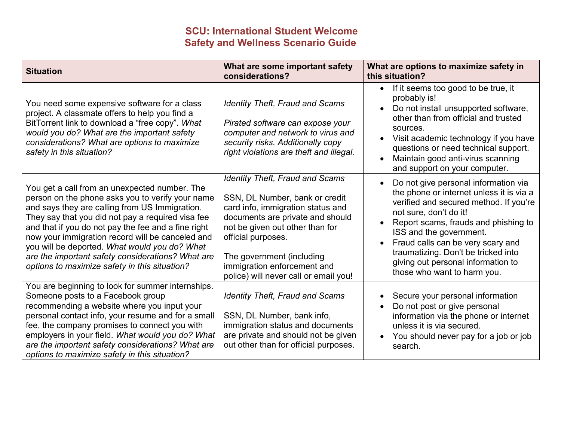## **SCU: International Student Welcome Safety and Wellness Scenario Guide**

| <b>Situation</b>                                                                                                                                                                                                                                                                                                                                                                                                                                                           | What are some important safety<br>considerations?                                                                                                                                                                                                                                                               | What are options to maximize safety in<br>this situation?                                                                                                                                                                                                                                                                                                                |
|----------------------------------------------------------------------------------------------------------------------------------------------------------------------------------------------------------------------------------------------------------------------------------------------------------------------------------------------------------------------------------------------------------------------------------------------------------------------------|-----------------------------------------------------------------------------------------------------------------------------------------------------------------------------------------------------------------------------------------------------------------------------------------------------------------|--------------------------------------------------------------------------------------------------------------------------------------------------------------------------------------------------------------------------------------------------------------------------------------------------------------------------------------------------------------------------|
| You need some expensive software for a class<br>project. A classmate offers to help you find a<br>BitTorrent link to download a "free copy". What<br>would you do? What are the important safety<br>considerations? What are options to maximize<br>safety in this situation?                                                                                                                                                                                              | <b>Identity Theft, Fraud and Scams</b><br>Pirated software can expose your<br>computer and network to virus and<br>security risks. Additionally copy<br>right violations are theft and illegal.                                                                                                                 | If it seems too good to be true, it<br>$\bullet$<br>probably is!<br>Do not install unsupported software,<br>other than from official and trusted<br>sources.<br>Visit academic technology if you have<br>questions or need technical support.<br>Maintain good anti-virus scanning<br>and support on your computer.                                                      |
| You get a call from an unexpected number. The<br>person on the phone asks you to verify your name<br>and says they are calling from US Immigration.<br>They say that you did not pay a required visa fee<br>and that if you do not pay the fee and a fine right<br>now your immigration record will be canceled and<br>you will be deported. What would you do? What<br>are the important safety considerations? What are<br>options to maximize safety in this situation? | <b>Identity Theft, Fraud and Scams</b><br>SSN, DL Number, bank or credit<br>card info, immigration status and<br>documents are private and should<br>not be given out other than for<br>official purposes.<br>The government (including<br>immigration enforcement and<br>police) will never call or email you! | Do not give personal information via<br>the phone or internet unless it is via a<br>verified and secured method. If you're<br>not sure, don't do it!<br>Report scams, frauds and phishing to<br>ISS and the government.<br>Fraud calls can be very scary and<br>traumatizing. Don't be tricked into<br>giving out personal information to<br>those who want to harm you. |
| You are beginning to look for summer internships.<br>Someone posts to a Facebook group<br>recommending a website where you input your<br>personal contact info, your resume and for a small<br>fee, the company promises to connect you with<br>employers in your field. What would you do? What<br>are the important safety considerations? What are<br>options to maximize safety in this situation?                                                                     | <b>Identity Theft, Fraud and Scams</b><br>SSN, DL Number, bank info,<br>immigration status and documents<br>are private and should not be given<br>out other than for official purposes.                                                                                                                        | Secure your personal information<br>Do not post or give personal<br>information via the phone or internet<br>unless it is via secured.<br>You should never pay for a job or job<br>search.                                                                                                                                                                               |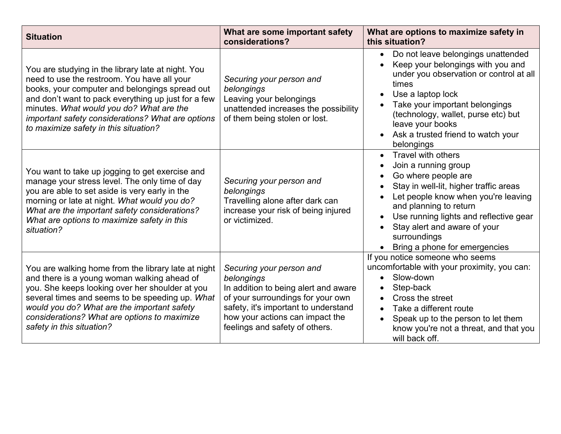| <b>Situation</b>                                                                                                                                                                                                                                                                                                                                     | What are some important safety<br>considerations?                                                                                                                                                                                | What are options to maximize safety in<br>this situation?                                                                                                                                                                                                                                               |
|------------------------------------------------------------------------------------------------------------------------------------------------------------------------------------------------------------------------------------------------------------------------------------------------------------------------------------------------------|----------------------------------------------------------------------------------------------------------------------------------------------------------------------------------------------------------------------------------|---------------------------------------------------------------------------------------------------------------------------------------------------------------------------------------------------------------------------------------------------------------------------------------------------------|
| You are studying in the library late at night. You<br>need to use the restroom. You have all your<br>books, your computer and belongings spread out<br>and don't want to pack everything up just for a few<br>minutes. What would you do? What are the<br>important safety considerations? What are options<br>to maximize safety in this situation? | Securing your person and<br>belongings<br>Leaving your belongings<br>unattended increases the possibility<br>of them being stolen or lost.                                                                                       | • Do not leave belongings unattended<br>Keep your belongings with you and<br>under you observation or control at all<br>times<br>Use a laptop lock<br>Take your important belongings<br>(technology, wallet, purse etc) but<br>leave your books<br>Ask a trusted friend to watch your<br>belongings     |
| You want to take up jogging to get exercise and<br>manage your stress level. The only time of day<br>you are able to set aside is very early in the<br>morning or late at night. What would you do?<br>What are the important safety considerations?<br>What are options to maximize safety in this<br>situation?                                    | Securing your person and<br>belongings<br>Travelling alone after dark can<br>increase your risk of being injured<br>or victimized.                                                                                               | Travel with others<br>Join a running group<br>Go where people are<br>Stay in well-lit, higher traffic areas<br>Let people know when you're leaving<br>and planning to return<br>Use running lights and reflective gear<br>Stay alert and aware of your<br>surroundings<br>Bring a phone for emergencies |
| You are walking home from the library late at night<br>and there is a young woman walking ahead of<br>you. She keeps looking over her shoulder at you<br>several times and seems to be speeding up. What<br>would you do? What are the important safety<br>considerations? What are options to maximize<br>safety in this situation?                 | Securing your person and<br>belongings<br>In addition to being alert and aware<br>of your surroundings for your own<br>safety, it's important to understand<br>how your actions can impact the<br>feelings and safety of others. | If you notice someone who seems<br>uncomfortable with your proximity, you can:<br>Slow-down<br>Step-back<br>Cross the street<br>Take a different route<br>Speak up to the person to let them<br>know you're not a threat, and that you<br>will back off.                                                |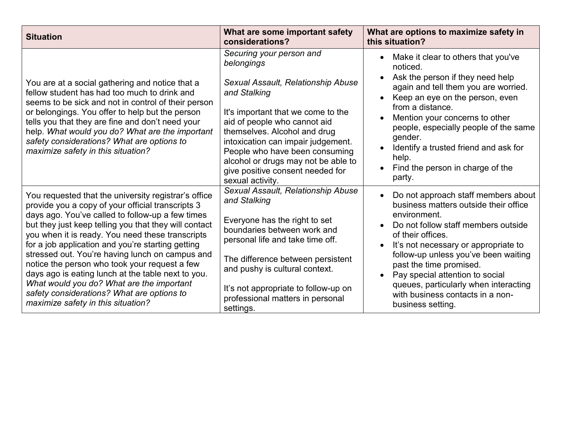| <b>Situation</b>                                                                                                                                                                                                                                                                                                                                                                                                                                                                                                                                                                                                           | What are some important safety<br>considerations?                                                                                                                                                                                                                                                                                                                         | What are options to maximize safety in<br>this situation?                                                                                                                                                                                                                                                                                                                                                |
|----------------------------------------------------------------------------------------------------------------------------------------------------------------------------------------------------------------------------------------------------------------------------------------------------------------------------------------------------------------------------------------------------------------------------------------------------------------------------------------------------------------------------------------------------------------------------------------------------------------------------|---------------------------------------------------------------------------------------------------------------------------------------------------------------------------------------------------------------------------------------------------------------------------------------------------------------------------------------------------------------------------|----------------------------------------------------------------------------------------------------------------------------------------------------------------------------------------------------------------------------------------------------------------------------------------------------------------------------------------------------------------------------------------------------------|
| You are at a social gathering and notice that a<br>fellow student has had too much to drink and<br>seems to be sick and not in control of their person<br>or belongings. You offer to help but the person<br>tells you that they are fine and don't need your<br>help. What would you do? What are the important<br>safety considerations? What are options to<br>maximize safety in this situation?                                                                                                                                                                                                                       | Securing your person and<br>belongings<br>Sexual Assault, Relationship Abuse<br>and Stalking<br>It's important that we come to the<br>aid of people who cannot aid<br>themselves. Alcohol and drug<br>intoxication can impair judgement.<br>People who have been consuming<br>alcohol or drugs may not be able to<br>give positive consent needed for<br>sexual activity. | Make it clear to others that you've<br>noticed.<br>Ask the person if they need help<br>$\bullet$<br>again and tell them you are worried.<br>Keep an eye on the person, even<br>from a distance.<br>Mention your concerns to other<br>people, especially people of the same<br>gender.<br>Identify a trusted friend and ask for<br>help.<br>Find the person in charge of the<br>party.                    |
| You requested that the university registrar's office<br>provide you a copy of your official transcripts 3<br>days ago. You've called to follow-up a few times<br>but they just keep telling you that they will contact<br>you when it is ready. You need these transcripts<br>for a job application and you're starting getting<br>stressed out. You're having lunch on campus and<br>notice the person who took your request a few<br>days ago is eating lunch at the table next to you.<br>What would you do? What are the important<br>safety considerations? What are options to<br>maximize safety in this situation? | Sexual Assault, Relationship Abuse<br>and Stalking<br>Everyone has the right to set<br>boundaries between work and<br>personal life and take time off.<br>The difference between persistent<br>and pushy is cultural context.<br>It's not appropriate to follow-up on<br>professional matters in personal<br>settings.                                                    | Do not approach staff members about<br>business matters outside their office<br>environment.<br>Do not follow staff members outside<br>of their offices.<br>It's not necessary or appropriate to<br>follow-up unless you've been waiting<br>past the time promised.<br>Pay special attention to social<br>queues, particularly when interacting<br>with business contacts in a non-<br>business setting. |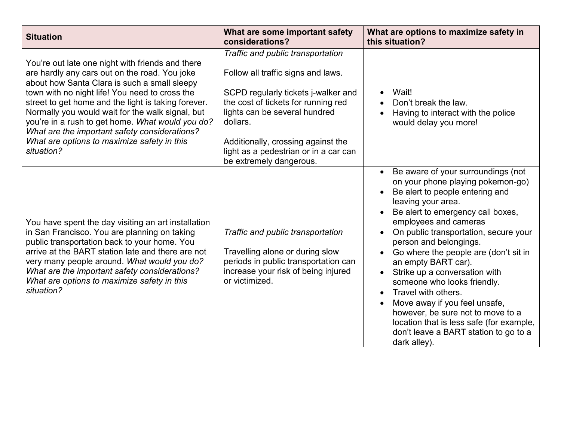| <b>Situation</b>                                                                                                                                                                                                                                                                                                                                                                                                                                                                 | What are some important safety<br>considerations?                                                                                                                                                                                                                                                            | What are options to maximize safety in<br>this situation?                                                                                                                                                                                                                                                                                                                                                                                                                                                                                                                                                        |
|----------------------------------------------------------------------------------------------------------------------------------------------------------------------------------------------------------------------------------------------------------------------------------------------------------------------------------------------------------------------------------------------------------------------------------------------------------------------------------|--------------------------------------------------------------------------------------------------------------------------------------------------------------------------------------------------------------------------------------------------------------------------------------------------------------|------------------------------------------------------------------------------------------------------------------------------------------------------------------------------------------------------------------------------------------------------------------------------------------------------------------------------------------------------------------------------------------------------------------------------------------------------------------------------------------------------------------------------------------------------------------------------------------------------------------|
| You're out late one night with friends and there<br>are hardly any cars out on the road. You joke<br>about how Santa Clara is such a small sleepy<br>town with no night life! You need to cross the<br>street to get home and the light is taking forever.<br>Normally you would wait for the walk signal, but<br>you're in a rush to get home. What would you do?<br>What are the important safety considerations?<br>What are options to maximize safety in this<br>situation? | Traffic and public transportation<br>Follow all traffic signs and laws.<br>SCPD regularly tickets j-walker and<br>the cost of tickets for running red<br>lights can be several hundred<br>dollars.<br>Additionally, crossing against the<br>light as a pedestrian or in a car can<br>be extremely dangerous. | Wait!<br>Don't break the law.<br>Having to interact with the police<br>would delay you more!                                                                                                                                                                                                                                                                                                                                                                                                                                                                                                                     |
| You have spent the day visiting an art installation<br>in San Francisco. You are planning on taking<br>public transportation back to your home. You<br>arrive at the BART station late and there are not<br>very many people around. What would you do?<br>What are the important safety considerations?<br>What are options to maximize safety in this<br>situation?                                                                                                            | Traffic and public transportation<br>Travelling alone or during slow<br>periods in public transportation can<br>increase your risk of being injured<br>or victimized.                                                                                                                                        | Be aware of your surroundings (not<br>on your phone playing pokemon-go)<br>Be alert to people entering and<br>leaving your area.<br>Be alert to emergency call boxes,<br>employees and cameras<br>On public transportation, secure your<br>person and belongings.<br>Go where the people are (don't sit in<br>an empty BART car).<br>Strike up a conversation with<br>$\bullet$<br>someone who looks friendly.<br>Travel with others.<br>Move away if you feel unsafe,<br>however, be sure not to move to a<br>location that is less safe (for example,<br>don't leave a BART station to go to a<br>dark alley). |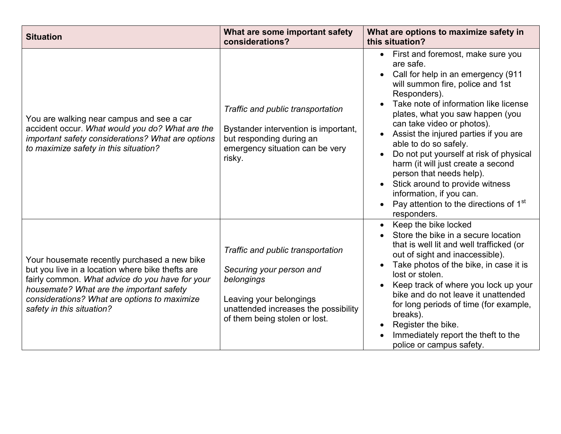| <b>Situation</b>                                                                                                                                                                                                                                                             | What are some important safety<br>considerations?                                                                                                                               | What are options to maximize safety in<br>this situation?                                                                                                                                                                                                                                                                                                                                                                                                                                                                                                                           |
|------------------------------------------------------------------------------------------------------------------------------------------------------------------------------------------------------------------------------------------------------------------------------|---------------------------------------------------------------------------------------------------------------------------------------------------------------------------------|-------------------------------------------------------------------------------------------------------------------------------------------------------------------------------------------------------------------------------------------------------------------------------------------------------------------------------------------------------------------------------------------------------------------------------------------------------------------------------------------------------------------------------------------------------------------------------------|
| You are walking near campus and see a car<br>accident occur. What would you do? What are the<br>important safety considerations? What are options<br>to maximize safety in this situation?                                                                                   | Traffic and public transportation<br>Bystander intervention is important,<br>but responding during an<br>emergency situation can be very<br>risky.                              | First and foremost, make sure you<br>$\bullet$<br>are safe.<br>Call for help in an emergency (911<br>will summon fire, police and 1st<br>Responders).<br>Take note of information like license<br>plates, what you saw happen (you<br>can take video or photos).<br>Assist the injured parties if you are<br>able to do so safely.<br>Do not put yourself at risk of physical<br>harm (it will just create a second<br>person that needs help).<br>Stick around to provide witness<br>information, if you can.<br>Pay attention to the directions of 1 <sup>st</sup><br>responders. |
| Your housemate recently purchased a new bike<br>but you live in a location where bike thefts are<br>fairly common. What advice do you have for your<br>housemate? What are the important safety<br>considerations? What are options to maximize<br>safety in this situation? | Traffic and public transportation<br>Securing your person and<br>belongings<br>Leaving your belongings<br>unattended increases the possibility<br>of them being stolen or lost. | Keep the bike locked<br>Store the bike in a secure location<br>that is well lit and well trafficked (or<br>out of sight and inaccessible).<br>Take photos of the bike, in case it is<br>lost or stolen.<br>Keep track of where you lock up your<br>bike and do not leave it unattended<br>for long periods of time (for example,<br>breaks).<br>Register the bike.<br>Immediately report the theft to the<br>police or campus safety.                                                                                                                                               |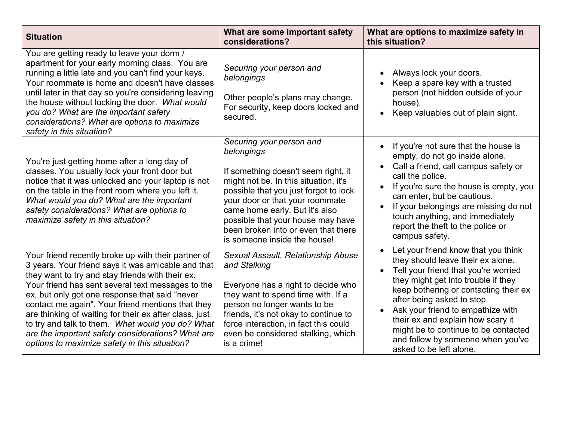| <b>Situation</b>                                                                                                                                                                                                                                                                                                                                                                                                                                                                                                                              | What are some important safety<br>considerations?                                                                                                                                                                                                                                                                                                | What are options to maximize safety in<br>this situation?                                                                                                                                                                                                                                                                                                                                                        |
|-----------------------------------------------------------------------------------------------------------------------------------------------------------------------------------------------------------------------------------------------------------------------------------------------------------------------------------------------------------------------------------------------------------------------------------------------------------------------------------------------------------------------------------------------|--------------------------------------------------------------------------------------------------------------------------------------------------------------------------------------------------------------------------------------------------------------------------------------------------------------------------------------------------|------------------------------------------------------------------------------------------------------------------------------------------------------------------------------------------------------------------------------------------------------------------------------------------------------------------------------------------------------------------------------------------------------------------|
| You are getting ready to leave your dorm /<br>apartment for your early morning class. You are<br>running a little late and you can't find your keys.<br>Your roommate is home and doesn't have classes<br>until later in that day so you're considering leaving<br>the house without locking the door. What would<br>you do? What are the important safety<br>considerations? What are options to maximize<br>safety in this situation?                                                                                                       | Securing your person and<br>belongings<br>Other people's plans may change.<br>For security, keep doors locked and<br>secured.                                                                                                                                                                                                                    | Always lock your doors.<br>Keep a spare key with a trusted<br>person (not hidden outside of your<br>house).<br>Keep valuables out of plain sight.                                                                                                                                                                                                                                                                |
| You're just getting home after a long day of<br>classes. You usually lock your front door but<br>notice that it was unlocked and your laptop is not<br>on the table in the front room where you left it.<br>What would you do? What are the important<br>safety considerations? What are options to<br>maximize safety in this situation?                                                                                                                                                                                                     | Securing your person and<br>belongings<br>If something doesn't seem right, it<br>might not be. In this situation, it's<br>possible that you just forgot to lock<br>your door or that your roommate<br>came home early. But it's also<br>possible that your house may have<br>been broken into or even that there<br>is someone inside the house! | If you're not sure that the house is<br>empty, do not go inside alone.<br>Call a friend, call campus safety or<br>call the police.<br>If you're sure the house is empty, you<br>can enter, but be cautious.<br>If your belongings are missing do not<br>touch anything, and immediately<br>report the theft to the police or<br>campus safety.                                                                   |
| Your friend recently broke up with their partner of<br>3 years. Your friend says it was amicable and that<br>they want to try and stay friends with their ex.<br>Your friend has sent several text messages to the<br>ex, but only got one response that said "never<br>contact me again". Your friend mentions that they<br>are thinking of waiting for their ex after class, just<br>to try and talk to them. What would you do? What<br>are the important safety considerations? What are<br>options to maximize safety in this situation? | Sexual Assault, Relationship Abuse<br>and Stalking<br>Everyone has a right to decide who<br>they want to spend time with. If a<br>person no longer wants to be<br>friends, it's not okay to continue to<br>force interaction, in fact this could<br>even be considered stalking, which<br>is a crime!                                            | Let your friend know that you think<br>they should leave their ex alone.<br>Tell your friend that you're worried<br>they might get into trouble if they<br>keep bothering or contacting their ex<br>after being asked to stop.<br>Ask your friend to empathize with<br>their ex and explain how scary it<br>might be to continue to be contacted<br>and follow by someone when you've<br>asked to be left alone, |